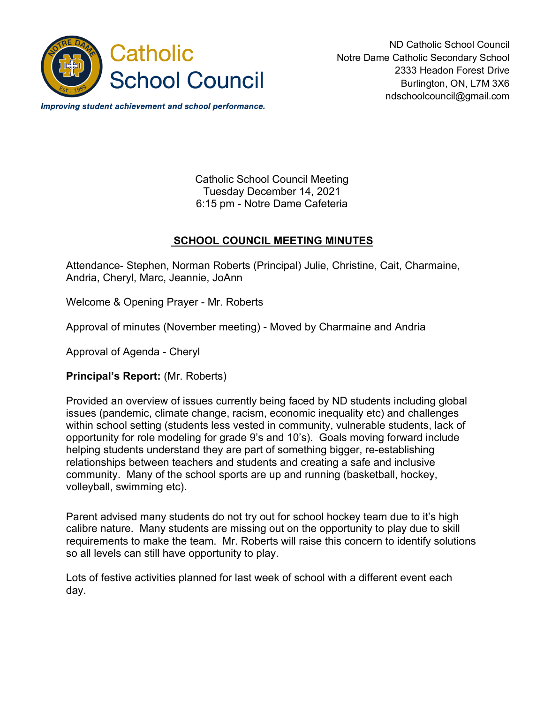

ND Catholic School Council Notre Dame Catholic Secondary School 2333 Headon Forest Drive Burlington, ON, L7M 3X6 ndschoolcouncil@gmail.com

Improving student achievement and school performance.

Catholic School Council Meeting Tuesday December 14, 2021 6:15 pm - Notre Dame Cafeteria

## **SCHOOL COUNCIL MEETING MINUTES**

Attendance- Stephen, Norman Roberts (Principal) Julie, Christine, Cait, Charmaine, Andria, Cheryl, Marc, Jeannie, JoAnn

Welcome & Opening Prayer - Mr. Roberts

Approval of minutes (November meeting) - Moved by Charmaine and Andria

Approval of Agenda - Cheryl

**Principal's Report:** (Mr. Roberts)

Provided an overview of issues currently being faced by ND students including global issues (pandemic, climate change, racism, economic inequality etc) and challenges within school setting (students less vested in community, vulnerable students, lack of opportunity for role modeling for grade 9's and 10's). Goals moving forward include helping students understand they are part of something bigger, re-establishing relationships between teachers and students and creating a safe and inclusive community. Many of the school sports are up and running (basketball, hockey, volleyball, swimming etc).

Parent advised many students do not try out for school hockey team due to it's high calibre nature. Many students are missing out on the opportunity to play due to skill requirements to make the team. Mr. Roberts will raise this concern to identify solutions so all levels can still have opportunity to play.

Lots of festive activities planned for last week of school with a different event each day.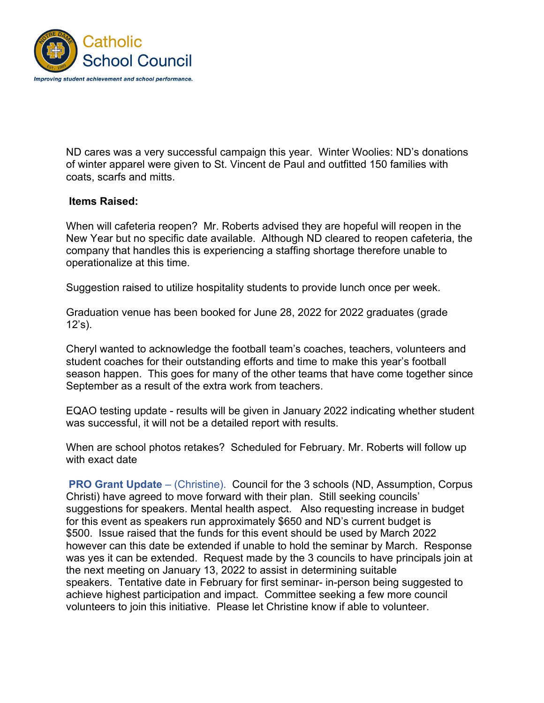

ND cares was a very successful campaign this year. Winter Woolies: ND's donations of winter apparel were given to St. Vincent de Paul and outfitted 150 families with coats, scarfs and mitts.

## **Items Raised:**

When will cafeteria reopen? Mr. Roberts advised they are hopeful will reopen in the New Year but no specific date available. Although ND cleared to reopen cafeteria, the company that handles this is experiencing a staffing shortage therefore unable to operationalize at this time.

Suggestion raised to utilize hospitality students to provide lunch once per week.

Graduation venue has been booked for June 28, 2022 for 2022 graduates (grade  $12's$ ).

Cheryl wanted to acknowledge the football team's coaches, teachers, volunteers and student coaches for their outstanding efforts and time to make this year's football season happen. This goes for many of the other teams that have come together since September as a result of the extra work from teachers.

EQAO testing update - results will be given in January 2022 indicating whether student was successful, it will not be a detailed report with results.

When are school photos retakes? Scheduled for February. Mr. Roberts will follow up with exact date

**PRO Grant Update** – (Christine). Council for the 3 schools (ND, Assumption, Corpus Christi) have agreed to move forward with their plan. Still seeking councils' suggestions for speakers. Mental health aspect. Also requesting increase in budget for this event as speakers run approximately \$650 and ND's current budget is \$500. Issue raised that the funds for this event should be used by March 2022 however can this date be extended if unable to hold the seminar by March. Response was yes it can be extended. Request made by the 3 councils to have principals join at the next meeting on January 13, 2022 to assist in determining suitable speakers. Tentative date in February for first seminar- in-person being suggested to achieve highest participation and impact. Committee seeking a few more council volunteers to join this initiative. Please let Christine know if able to volunteer.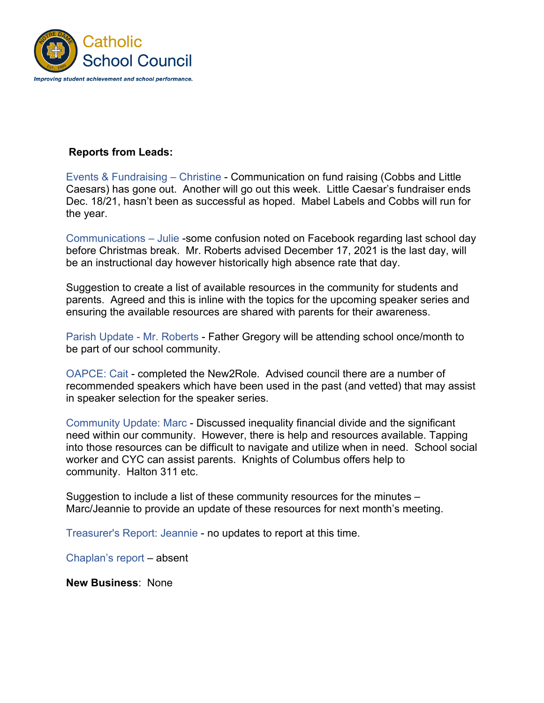

## **Reports from Leads:**

Events & Fundraising – Christine - Communication on fund raising (Cobbs and Little Caesars) has gone out. Another will go out this week. Little Caesar's fundraiser ends Dec. 18/21, hasn't been as successful as hoped. Mabel Labels and Cobbs will run for the year.

Communications – Julie -some confusion noted on Facebook regarding last school day before Christmas break. Mr. Roberts advised December 17, 2021 is the last day, will be an instructional day however historically high absence rate that day.

Suggestion to create a list of available resources in the community for students and parents. Agreed and this is inline with the topics for the upcoming speaker series and ensuring the available resources are shared with parents for their awareness.

Parish Update - Mr. Roberts - Father Gregory will be attending school once/month to be part of our school community.

OAPCE: Cait - completed the New2Role. Advised council there are a number of recommended speakers which have been used in the past (and vetted) that may assist in speaker selection for the speaker series.

Community Update: Marc - Discussed inequality financial divide and the significant need within our community. However, there is help and resources available. Tapping into those resources can be difficult to navigate and utilize when in need. School social worker and CYC can assist parents. Knights of Columbus offers help to community. Halton 311 etc.

Suggestion to include a list of these community resources for the minutes – Marc/Jeannie to provide an update of these resources for next month's meeting.

Treasurer's Report: Jeannie - no updates to report at this time.

Chaplan's report – absent

**New Business**: None